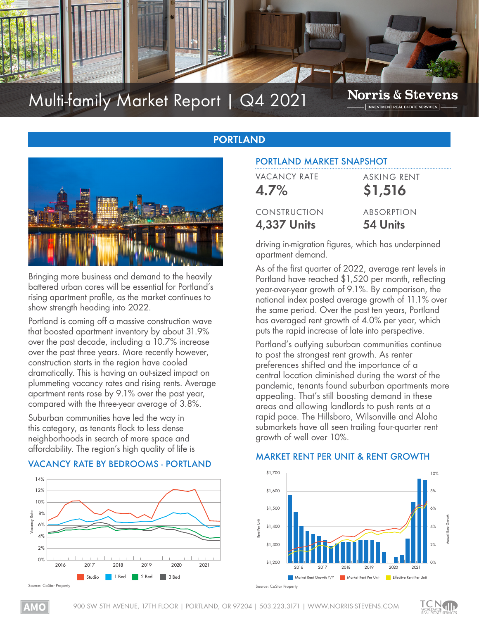

# Multi-family Market Report | Q4 2021

**Norris & Stevens** INVESTMENT REAL ESTATE SERVICES

## **PORTLAND**



Bringing more business and demand to the heavily battered urban cores will be essential for Portland's rising apartment profile, as the market continues to show strength heading into 2022.

Portland is coming off a massive construction wave that boosted apartment inventory by about 31.9% over the past decade, including a 10.7% increase over the past three years. More recently however, construction starts in the region have cooled dramatically. This is having an out-sized impact on plummeting vacancy rates and rising rents. Average apartment rents rose by 9.1% over the past year, compared with the three-year average of 3.8%.

Suburban communities have led the way in this category, as tenants flock to less dense neighborhoods in search of more space and affordability. The region's high quality of life is

## VACANCY RATE BY BEDROOMS - PORTLAND



## PORTLAND MARKET SNAPSHOT

| <b>VACANCY RATE</b> | <b>ASKING RENT</b> |
|---------------------|--------------------|
| 4.7%                | \$1,516            |
| CONSTRUCTION        | <b>ABSORPTION</b>  |
| <b>4,337 Units</b>  | 54 Units           |
|                     |                    |

driving in-migration figures, which has underpinned apartment demand.

As of the first quarter of 2022, average rent levels in Portland have reached \$1,520 per month, reflecting year-over-year growth of 9.1%. By comparison, the national index posted average growth of 11.1% over the same period. Over the past ten years, Portland has averaged rent growth of 4.0% per year, which puts the rapid increase of late into perspective.

Portland's outlying suburban communities continue to post the strongest rent growth. As renter preferences shifted and the importance of a central location diminished during the worst of the pandemic, tenants found suburban apartments more appealing. That's still boosting demand in these areas and allowing landlords to push rents at a rapid pace. The Hillsboro, Wilsonville and Aloha submarkets have all seen trailing four-quarter rent growth of well over 10%.

#### MARKET RENT PER UNIT & RENT GROWTH



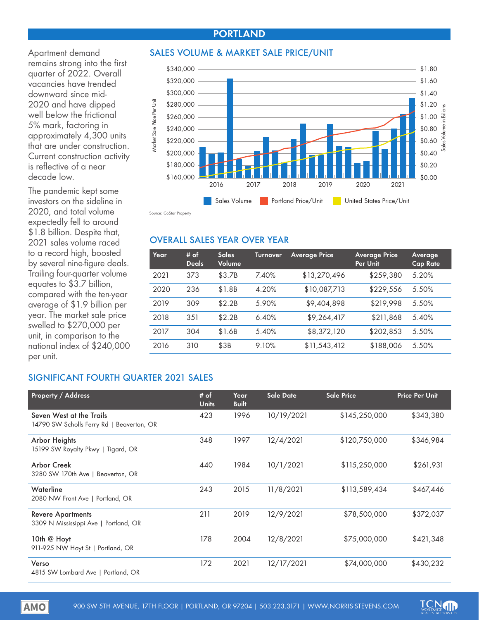## **PORTLAND**

Apartment demand remains strong into the first quarter of 2022. Overall vacancies have trended downward since mid-2020 and have dipped well below the frictional 5% mark, factoring in approximately 4,300 units that are under construction. Current construction activity is reflective of a near decade low.

The pandemic kept some investors on the sideline in 2020, and total volume expectedly fell to around \$1.8 billion. Despite that, 2021 sales volume raced to a record high, boosted by several nine-figure deals. Trailing four-quarter volume equates to \$3.7 billion, compared with the ten-year average of \$1.9 billion per year. The market sale price swelled to \$270,000 per unit, in comparison to the national index of \$240,000 per unit.

#### SALES VOLUME & MARKET SALE PRICE/UNIT



urce: CoStar Property

#### OVERALL SALES YEAR OVER YEAR

| Year | # of<br><b>Deals</b> | <b>Sales</b><br>Volume | <b>Turnover</b> | <b>Average Price</b> | <b>Average Price</b><br>Per Unit | Average<br><b>Cap Rate</b> |
|------|----------------------|------------------------|-----------------|----------------------|----------------------------------|----------------------------|
| 2021 | 373                  | \$3.7B                 | 7.40%           | \$13,270,496         | \$259,380                        | 5.20%                      |
| 2020 | 236                  | \$1.8B                 | 4.20%           | \$10,087,713         | \$229,556                        | 5.50%                      |
| 2019 | 309                  | \$2.2B                 | 5.90%           | \$9,404,898          | \$219,998                        | 5.50%                      |
| 2018 | 3.51                 | \$2.2B                 | 6.40%           | \$9,264,417          | \$211,868                        | 5.40%                      |
| 2017 | 304                  | \$1.6B                 | 5.40%           | \$8,372,120          | \$202,853                        | 5.50%                      |
| 2016 | 310                  | \$3B                   | 9.10%           | \$11,543,412         | \$188,006                        | 5.50%                      |

#### SIGNIFICANT FOURTH QUARTER 2021 SALES

| <b>Property / Address</b>                                             | # of<br><b>Units</b> | Year<br><b>Built</b> | <b>Sale Date</b> | <b>Sale Price</b> | <b>Price Per Unit</b> |
|-----------------------------------------------------------------------|----------------------|----------------------|------------------|-------------------|-----------------------|
| Seven West at the Trails<br>14790 SW Scholls Ferry Rd   Beaverton, OR | 423                  | 1996                 | 10/19/2021       | \$145,250,000     | \$343,380             |
| <b>Arbor Heights</b><br>15199 SW Royalty Pkwy   Tigard, OR            | 348                  | 1997                 | 12/4/2021        | \$120,750,000     | \$346,984             |
| <b>Arbor Creek</b><br>3280 SW 170th Ave   Beaverton, OR               | 440                  | 1984                 | 10/1/2021        | \$115,250,000     | \$261,931             |
| Waterline<br>2080 NW Front Ave   Portland, OR                         | 243                  | 2015                 | 11/8/2021        | \$113,589,434     | \$467,446             |
| <b>Revere Apartments</b><br>3309 N Mississippi Ave   Portland, OR     | 211                  | 2019                 | 12/9/2021        | \$78,500,000      | \$372,037             |
| 10th @ Hoyt<br>911-925 NW Hoyt St   Portland, OR                      | 178                  | 2004                 | 12/8/2021        | \$75,000,000      | \$421,348             |
| Verso<br>4815 SW Lombard Ave   Portland, OR                           | 172                  | 2021                 | 12/17/2021       | \$74,000,000      | \$430,232             |